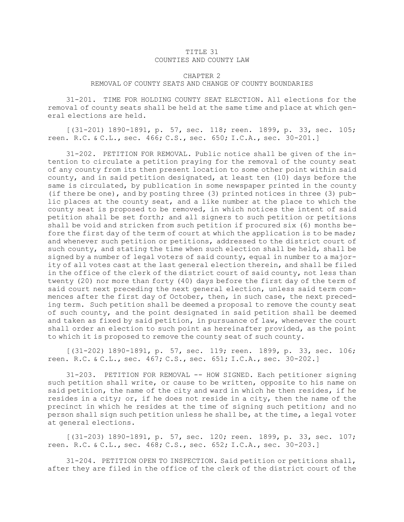## TITLE 31 COUNTIES AND COUNTY LAW

## CHAPTER 2 REMOVAL OF COUNTY SEATS AND CHANGE OF COUNTY BOUNDARIES

31-201. TIME FOR HOLDING COUNTY SEAT ELECTION. All elections for the removal of county seats shall be held at the same time and place at which general elections are held.

[(31-201) 1890-1891, p. 57, sec. 118; reen. 1899, p. 33, sec. 105; reen. R.C. & C.L., sec. 466; C.S., sec. 650; I.C.A., sec. 30-201.]

31-202. PETITION FOR REMOVAL. Public notice shall be given of the intention to circulate <sup>a</sup> petition praying for the removal of the county seat of any county from its then present location to some other point within said county, and in said petition designated, at least ten (10) days before the same is circulated, by publication in some newspaper printed in the county (if there be one), and by posting three (3) printed notices in three (3) public places at the county seat, and <sup>a</sup> like number at the place to which the county seat is proposed to be removed, in which notices the intent of said petition shall be set forth; and all signers to such petition or petitions shall be void and stricken from such petition if procured six (6) months before the first day of the term of court at which the application is to be made; and whenever such petition or petitions, addressed to the district court of such county, and stating the time when such election shall be held, shall be signed by <sup>a</sup> number of legal voters of said county, equal in number to <sup>a</sup> majority of all votes cast at the last general election therein, and shall be filed in the office of the clerk of the district court of said county, not less than twenty (20) nor more than forty (40) days before the first day of the term of said court next preceding the next general election, unless said term commences after the first day of October, then, in such case, the next preceding term. Such petition shall be deemed <sup>a</sup> proposal to remove the county seat of such county, and the point designated in said petition shall be deemed and taken as fixed by said petition, in pursuance of law, whenever the court shall order an election to such point as hereinafter provided, as the point to which it is proposed to remove the county seat of such county.

[(31-202) 1890-1891, p. 57, sec. 119; reen. 1899, p. 33, sec. 106; reen. R.C. & C.L., sec. 467; C.S., sec. 651; I.C.A., sec. 30-202.]

31-203. PETITION FOR REMOVAL -- HOW SIGNED. Each petitioner signing such petition shall write, or cause to be written, opposite to his name on said petition, the name of the city and ward in which he then resides, if he resides in <sup>a</sup> city; or, if he does not reside in <sup>a</sup> city, then the name of the precinct in which he resides at the time of signing such petition; and no person shall sign such petition unless he shall be, at the time, <sup>a</sup> legal voter at general elections.

[(31-203) 1890-1891, p. 57, sec. 120; reen. 1899, p. 33, sec. 107; reen. R.C. & C.L., sec. 468; C.S., sec. 652; I.C.A., sec. 30-203.]

31-204. PETITION OPEN TO INSPECTION. Said petition or petitions shall, after they are filed in the office of the clerk of the district court of the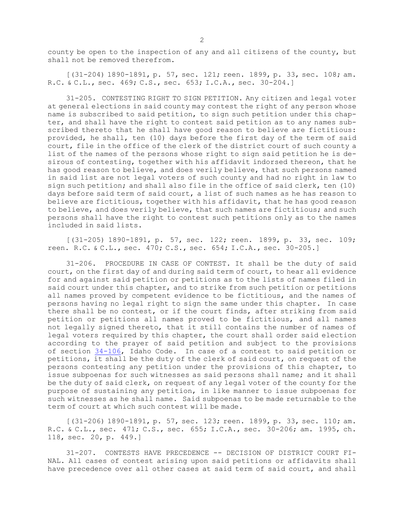county be open to the inspection of any and all citizens of the county, but shall not be removed therefrom.

 $(31-204)$  1890-1891, p. 57, sec. 121; reen. 1899, p. 33, sec. 108; am. R.C. & C.L., sec. 469; C.S., sec. 653; I.C.A., sec. 30-204.]

31-205. CONTESTING RIGHT TO SIGN PETITION. Any citizen and legal voter at general elections in said county may contest the right of any person whose name is subscribed to said petition, to sign such petition under this chapter, and shall have the right to contest said petition as to any names subscribed thereto that he shall have good reason to believe are fictitious: provided, he shall, ten (10) days before the first day of the term of said court, file in the office of the clerk of the district court of such county <sup>a</sup> list of the names of the persons whose right to sign said petition he is desirous of contesting, together with his affidavit indorsed thereon, that he has good reason to believe, and does verily believe, that such persons named in said list are not legal voters of such county and had no right in law to sign such petition; and shall also file in the office of said clerk, ten (10) days before said term of said court, <sup>a</sup> list of such names as he has reason to believe are fictitious, together with his affidavit, that he has good reason to believe, and does verily believe, that such names are fictitious; and such persons shall have the right to contest such petitions only as to the names included in said lists.

[(31-205) 1890-1891, p. 57, sec. 122; reen. 1899, p. 33, sec. 109; reen. R.C. & C.L., sec. 470; C.S., sec. 654; I.C.A., sec. 30-205.]

31-206. PROCEDURE IN CASE OF CONTEST. It shall be the duty of said court, on the first day of and during said term of court, to hear all evidence for and against said petition or petitions as to the lists of names filed in said court under this chapter, and to strike from such petition or petitions all names proved by competent evidence to be fictitious, and the names of persons having no legal right to sign the same under this chapter. In case there shall be no contest, or if the court finds, after striking from said petition or petitions all names proved to be fictitious, and all names not legally signed thereto, that it still contains the number of names of legal voters required by this chapter, the court shall order said election according to the prayer of said petition and subject to the provisions of section [34-106](https://legislature.idaho.gov/statutesrules/idstat/Title34/T34CH1/SECT34-106), Idaho Code. In case of <sup>a</sup> contest to said petition or petitions, it shall be the duty of the clerk of said court, on request of the persons contesting any petition under the provisions of this chapter, to issue subpoenas for such witnesses as said persons shall name; and it shall be the duty of said clerk, on request of any legal voter of the county for the purpose of sustaining any petition, in like manner to issue subpoenas for such witnesses as he shall name. Said subpoenas to be made returnable to the term of court at which such contest will be made.

[(31-206) 1890-1891, p. 57, sec. 123; reen. 1899, p. 33, sec. 110; am. R.C. & C.L., sec. 471; C.S., sec. 655; I.C.A., sec. 30-206; am. 1995, ch. 118, sec. 20, p. 449.]

31-207. CONTESTS HAVE PRECEDENCE -- DECISION OF DISTRICT COURT FI-NAL. All cases of contest arising upon said petitions or affidavits shall have precedence over all other cases at said term of said court, and shall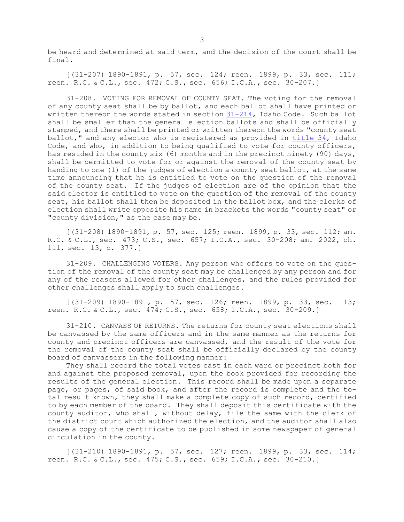be heard and determined at said term, and the decision of the court shall be final.

[(31-207) 1890-1891, p. 57, sec. 124; reen. 1899, p. 33, sec. 111; reen. R.C. & C.L., sec. 472; C.S., sec. 656; I.C.A., sec. 30-207.]

31-208. VOTING FOR REMOVAL OF COUNTY SEAT. The voting for the removal of any county seat shall be by ballot, and each ballot shall have printed or written thereon the words stated in section [31-214](https://legislature.idaho.gov/statutesrules/idstat/Title31/T31CH2/SECT31-214), Idaho Code. Such ballot shall be smaller than the general election ballots and shall be officially stamped, and there shall be printed or written thereon the words "county seat ballot," and any elector who is registered as provided in [title](https://legislature.idaho.gov/statutesrules/idstat/Title34/) 34, Idaho Code, and who, in addition to being qualified to vote for county officers, has resided in the county six (6) months and in the precinct ninety (90) days, shall be permitted to vote for or against the removal of the county seat by handing to one (1) of the judges of election <sup>a</sup> county seat ballot, at the same time announcing that he is entitled to vote on the question of the removal of the county seat. If the judges of election are of the opinion that the said elector is entitled to vote on the question of the removal of the county seat, his ballot shall then be deposited in the ballot box, and the clerks of election shall write opposite his name in brackets the words "county seat" or "county division," as the case may be.

[(31-208) 1890-1891, p. 57, sec. 125; reen. 1899, p. 33, sec. 112; am. R.C. & C.L., sec. 473; C.S., sec. 657; I.C.A., sec. 30-208; am. 2022, ch. 111, sec. 13, p. 377.]

31-209. CHALLENGING VOTERS. Any person who offers to vote on the question of the removal of the county seat may be challenged by any person and for any of the reasons allowed for other challenges, and the rules provided for other challenges shall apply to such challenges.

[(31-209) 1890-1891, p. 57, sec. 126; reen. 1899, p. 33, sec. 113; reen. R.C. & C.L., sec. 474; C.S., sec. 658; I.C.A., sec. 30-209.]

31-210. CANVASS OF RETURNS. The returns for county seat elections shall be canvassed by the same officers and in the same manner as the returns for county and precinct officers are canvassed, and the result of the vote for the removal of the county seat shall be officially declared by the county board of canvassers in the following manner:

They shall record the total votes cast in each ward or precinct both for and against the proposed removal, upon the book provided for recording the results of the general election. This record shall be made upon <sup>a</sup> separate page, or pages, of said book, and after the record is complete and the total result known, they shall make <sup>a</sup> complete copy of such record, certified to by each member of the board. They shall deposit this certificate with the county auditor, who shall, without delay, file the same with the clerk of the district court which authorized the election, and the auditor shall also cause <sup>a</sup> copy of the certificate to be published in some newspaper of general circulation in the county.

[(31-210) 1890-1891, p. 57, sec. 127; reen. 1899, p. 33, sec. 114; reen. R.C. & C.L., sec. 475; C.S., sec. 659; I.C.A., sec. 30-210.]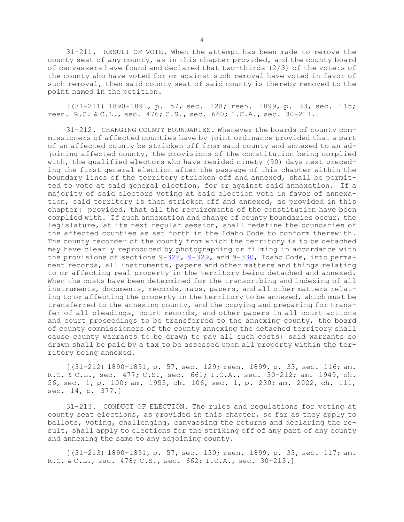31-211. RESULT OF VOTE. When the attempt has been made to remove the county seat of any county, as in this chapter provided, and the county board of canvassers have found and declared that two-thirds (2/3) of the voters of the county who have voted for or against such removal have voted in favor of such removal, then said county seat of said county is thereby removed to the point named in the petition.

[(31-211) 1890-1891, p. 57, sec. 128; reen. 1899, p. 33, sec. 115; reen. R.C. & C.L., sec. 476; C.S., sec. 660; I.C.A., sec. 30-211.]

31-212. CHANGING COUNTY BOUNDARIES. Whenever the boards of county commissioners of affected counties have by joint ordinance provided that <sup>a</sup> part of an affected county be stricken off from said county and annexed to an adjoining affected county, the provisions of the constitution being complied with, the qualified electors who have resided ninety (90) days next preceding the first general election after the passage of this chapter within the boundary lines of the territory stricken off and annexed, shall be permitted to vote at said general election, for or against said annexation. If <sup>a</sup> majority of said electors voting at said election vote in favor of annexation, said territory is then stricken off and annexed, as provided in this chapter: provided, that all the requirements of the constitution have been complied with. If such annexation and change of county boundaries occur, the legislature, at its next regular session, shall redefine the boundaries of the affected counties as set forth in the Idaho Code to conform therewith. The county recorder of the county from which the territory is to be detached may have clearly reproduced by photographing or filming in accordance with the provisions of sections  $9-328$ ,  $9-329$ , and  $9-330$ , Idaho Code, into permanent records, all instruments, papers and other matters and things relating to or affecting real property in the territory being detached and annexed. When the costs have been determined for the transcribing and indexing of all instruments, documents, records, maps, papers, and all other matters relating to or affecting the property in the territory to be annexed, which must be transferred to the annexing county, and the copying and preparing for transfer of all pleadings, court records, and other papers in all court actions and court proceedings to be transferred to the annexing county, the board of county commissioners of the county annexing the detached territory shall cause county warrants to be drawn to pay all such costs; said warrants so drawn shall be paid by <sup>a</sup> tax to be assessed upon all property within the territory being annexed.

[(31-212) 1890-1891, p. 57, sec. 129; reen. 1899, p. 33, sec. 116; am. R.C. & C.L., sec. 477; C.S., sec. 661; I.C.A., sec. 30-212; am. 1949, ch. 56, sec. 1, p. 100; am. 1955, ch. 106, sec. 1, p. 230; am. 2022, ch. 111, sec. 14, p. 377.]

31-213. CONDUCT OF ELECTION. The rules and regulations for voting at county seat elections, as provided in this chapter, so far as they apply to ballots, voting, challenging, canvassing the returns and declaring the result, shall apply to elections for the striking off of any part of any county and annexing the same to any adjoining county.

[(31-213) 1890-1891, p. 57, sec. 130; reen. 1899, p. 33, sec. 117; am. R.C. & C.L., sec. 478; C.S., sec. 662; I.C.A., sec. 30-213.]